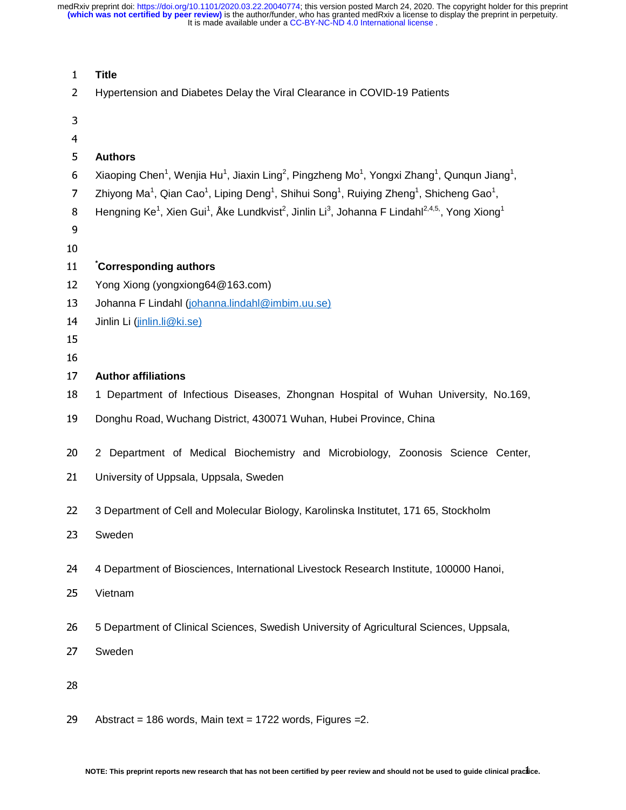| $\mathbf{1}$   | <b>Title</b>                                                                                                                                                           |
|----------------|------------------------------------------------------------------------------------------------------------------------------------------------------------------------|
| $\overline{2}$ | Hypertension and Diabetes Delay the Viral Clearance in COVID-19 Patients                                                                                               |
| 3              |                                                                                                                                                                        |
| $\overline{4}$ |                                                                                                                                                                        |
| 5              | <b>Authors</b>                                                                                                                                                         |
| 6              | Xiaoping Chen <sup>1</sup> , Wenjia Hu <sup>1</sup> , Jiaxin Ling <sup>2</sup> , Pingzheng Mo <sup>1</sup> , Yongxi Zhang <sup>1</sup> , Qunqun Jiang <sup>1</sup> ,   |
| $\overline{7}$ | Zhiyong Ma <sup>1</sup> , Qian Cao <sup>1</sup> , Liping Deng <sup>1</sup> , Shihui Song <sup>1</sup> , Ruiying Zheng <sup>1</sup> , Shicheng Gao <sup>1</sup> ,       |
| 8              | Hengning Ke <sup>1</sup> , Xien Gui <sup>1</sup> , Åke Lundkvist <sup>2</sup> , Jinlin Li <sup>3</sup> , Johanna F Lindahl <sup>2,4,5,</sup> , Yong Xiong <sup>1</sup> |
| 9              |                                                                                                                                                                        |
| 10             |                                                                                                                                                                        |
| 11             | Corresponding authors                                                                                                                                                  |
| 12             | Yong Xiong (yongxiong64@163.com)                                                                                                                                       |
| 13             | Johanna F Lindahl (johanna.lindahl@imbim.uu.se)                                                                                                                        |
| 14             | Jinlin Li (jinlin.li@ki.se)                                                                                                                                            |
| 15             |                                                                                                                                                                        |
| 16             |                                                                                                                                                                        |
| 17             | <b>Author affiliations</b>                                                                                                                                             |
| 18             | 1 Department of Infectious Diseases, Zhongnan Hospital of Wuhan University, No.169,                                                                                    |
| 19             | Donghu Road, Wuchang District, 430071 Wuhan, Hubei Province, China                                                                                                     |
| 20             | 2 Department of Medical Biochemistry and Microbiology, Zoonosis Science Center,                                                                                        |
| 21             | University of Uppsala, Uppsala, Sweden                                                                                                                                 |
|                |                                                                                                                                                                        |
| 22             | 3 Department of Cell and Molecular Biology, Karolinska Institutet, 171 65, Stockholm                                                                                   |
| 23             | Sweden                                                                                                                                                                 |
|                |                                                                                                                                                                        |
| 24             | 4 Department of Biosciences, International Livestock Research Institute, 100000 Hanoi,                                                                                 |
| 25             | Vietnam                                                                                                                                                                |
|                |                                                                                                                                                                        |
| 26             | 5 Department of Clinical Sciences, Swedish University of Agricultural Sciences, Uppsala,                                                                               |
| 27             | Sweden                                                                                                                                                                 |
|                |                                                                                                                                                                        |
| 28             |                                                                                                                                                                        |
|                |                                                                                                                                                                        |
| 29             | Abstract = 186 words, Main text = 1722 words, Figures = $2$ .                                                                                                          |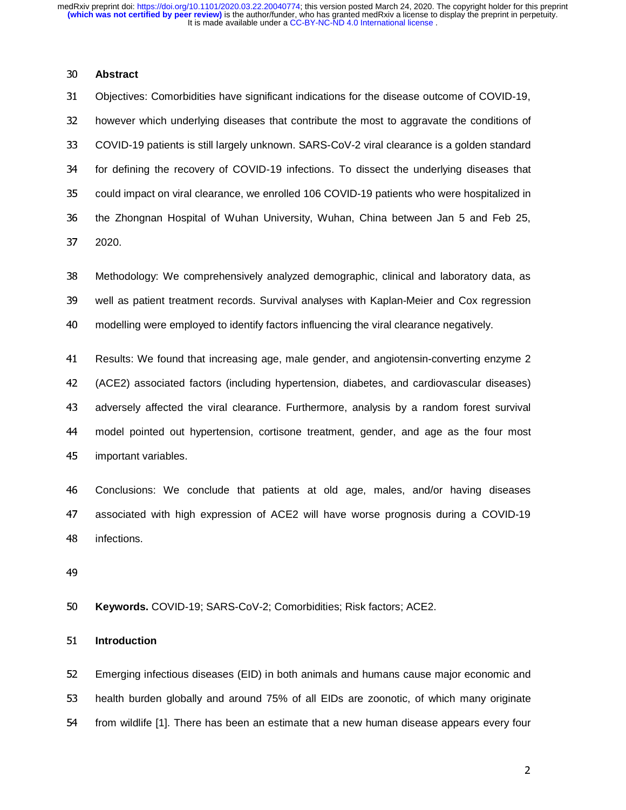### **Abstract**

Objectives: Comorbidities have significant indications for the disease outcome of COVID-19, however which underlying diseases that contribute the most to aggravate the conditions of COVID-19 patients is still largely unknown. SARS-CoV-2 viral clearance is a golden standard for defining the recovery of COVID-19 infections. To dissect the underlying diseases that could impact on viral clearance, we enrolled 106 COVID-19 patients who were hospitalized in the Zhongnan Hospital of Wuhan University, Wuhan, China between Jan 5 and Feb 25, 2020.

Methodology: We comprehensively analyzed demographic, clinical and laboratory data, as well as patient treatment records. Survival analyses with Kaplan-Meier and Cox regression modelling were employed to identify factors influencing the viral clearance negatively.

Results: We found that increasing age, male gender, and angiotensin-converting enzyme 2 (ACE2) associated factors (including hypertension, diabetes, and cardiovascular diseases) adversely affected the viral clearance. Furthermore, analysis by a random forest survival model pointed out hypertension, cortisone treatment, gender, and age as the four most important variables.

Conclusions: We conclude that patients at old age, males, and/or having diseases associated with high expression of ACE2 will have worse prognosis during a COVID-19 infections.

**Keywords.** COVID-19; SARS-CoV-2; Comorbidities; Risk factors; ACE2.

**Introduction** 

Emerging infectious diseases (EID) in both animals and humans cause major economic and health burden globally and around 75% of all EIDs are zoonotic, of which many originate from wildlife [1]. There has been an estimate that a new human disease appears every four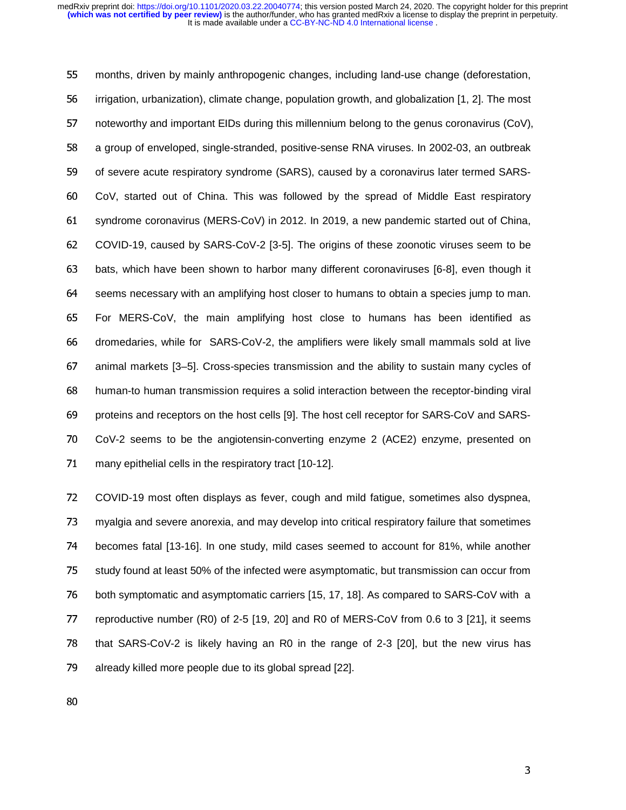months, driven by mainly anthropogenic changes, including land-use change (deforestation, irrigation, urbanization), climate change, population growth, and globalization [1, 2]. The most noteworthy and important EIDs during this millennium belong to the genus coronavirus (CoV), a group of enveloped, single-stranded, positive-sense RNA viruses. In 2002-03, an outbreak of severe acute respiratory syndrome (SARS), caused by a coronavirus later termed SARS-CoV, started out of China. This was followed by the spread of Middle East respiratory syndrome coronavirus (MERS-CoV) in 2012. In 2019, a new pandemic started out of China, COVID-19, caused by SARS-CoV-2 [3-5]. The origins of these zoonotic viruses seem to be bats, which have been shown to harbor many different coronaviruses [6-8], even though it seems necessary with an amplifying host closer to humans to obtain a species jump to man. For MERS-CoV, the main amplifying host close to humans has been identified as dromedaries, while for SARS-CoV-2, the amplifiers were likely small mammals sold at live animal markets [3–5]. Cross-species transmission and the ability to sustain many cycles of human-to human transmission requires a solid interaction between the receptor-binding viral proteins and receptors on the host cells [9]. The host cell receptor for SARS-CoV and SARS-CoV-2 seems to be the angiotensin-converting enzyme 2 (ACE2) enzyme, presented on many epithelial cells in the respiratory tract [10-12].

COVID-19 most often displays as fever, cough and mild fatigue, sometimes also dyspnea, myalgia and severe anorexia, and may develop into critical respiratory failure that sometimes becomes fatal [13-16]. In one study, mild cases seemed to account for 81%, while another study found at least 50% of the infected were asymptomatic, but transmission can occur from both symptomatic and asymptomatic carriers [15, 17, 18]. As compared to SARS-CoV with a reproductive number (R0) of 2-5 [19, 20] and R0 of MERS-CoV from 0.6 to 3 [21], it seems that SARS-CoV-2 is likely having an R0 in the range of 2-3 [20], but the new virus has already killed more people due to its global spread [22].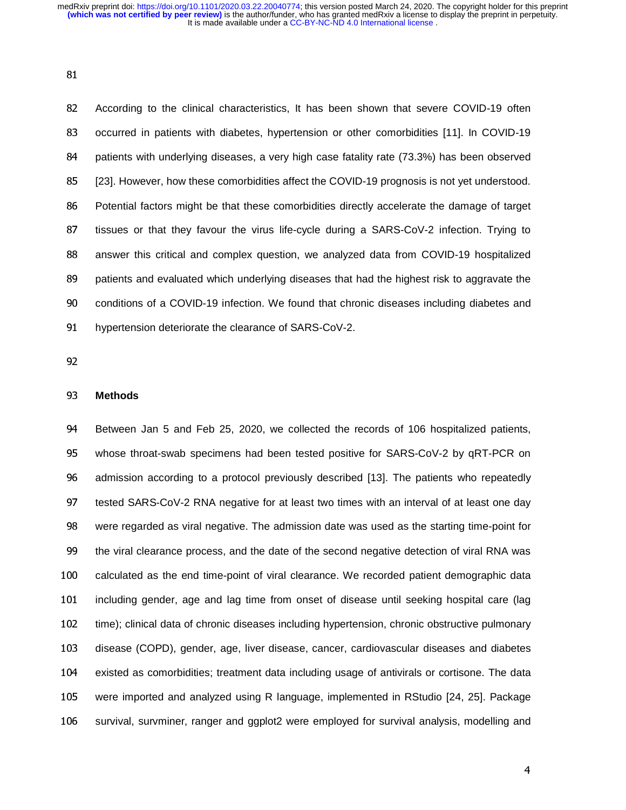According to the clinical characteristics, It has been shown that severe COVID-19 often occurred in patients with diabetes, hypertension or other comorbidities [11]. In COVID-19 patients with underlying diseases, a very high case fatality rate (73.3%) has been observed [23]. However, how these comorbidities affect the COVID-19 prognosis is not yet understood. Potential factors might be that these comorbidities directly accelerate the damage of target tissues or that they favour the virus life-cycle during a SARS-CoV-2 infection. Trying to answer this critical and complex question, we analyzed data from COVID-19 hospitalized patients and evaluated which underlying diseases that had the highest risk to aggravate the conditions of a COVID-19 infection. We found that chronic diseases including diabetes and hypertension deteriorate the clearance of SARS-CoV-2.

## **Methods**

Between Jan 5 and Feb 25, 2020, we collected the records of 106 hospitalized patients, whose throat-swab specimens had been tested positive for SARS-CoV-2 by qRT-PCR on admission according to a protocol previously described [13]. The patients who repeatedly tested SARS-CoV-2 RNA negative for at least two times with an interval of at least one day were regarded as viral negative. The admission date was used as the starting time-point for the viral clearance process, and the date of the second negative detection of viral RNA was calculated as the end time-point of viral clearance. We recorded patient demographic data including gender, age and lag time from onset of disease until seeking hospital care (lag time); clinical data of chronic diseases including hypertension, chronic obstructive pulmonary disease (COPD), gender, age, liver disease, cancer, cardiovascular diseases and diabetes existed as comorbidities; treatment data including usage of antivirals or cortisone. The data were imported and analyzed using R language, implemented in RStudio [24, 25]. Package survival, survminer, ranger and ggplot2 were employed for survival analysis, modelling and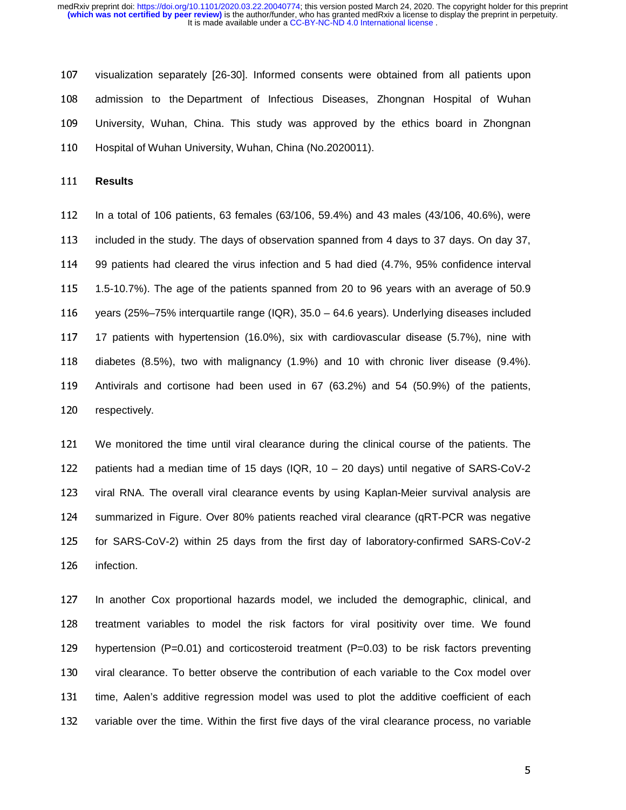visualization separately [26-30]. Informed consents were obtained from all patients upon admission to the Department of Infectious Diseases, Zhongnan Hospital of Wuhan University, Wuhan, China. This study was approved by the ethics board in Zhongnan Hospital of Wuhan University, Wuhan, China (No.2020011).

**Results** 

In a total of 106 patients, 63 females (63/106, 59.4%) and 43 males (43/106, 40.6%), were included in the study. The days of observation spanned from 4 days to 37 days. On day 37, 99 patients had cleared the virus infection and 5 had died (4.7%, 95% confidence interval 1.5-10.7%). The age of the patients spanned from 20 to 96 years with an average of 50.9 years (25%–75% interquartile range (IQR), 35.0 – 64.6 years). Underlying diseases included 17 patients with hypertension (16.0%), six with cardiovascular disease (5.7%), nine with diabetes (8.5%), two with malignancy (1.9%) and 10 with chronic liver disease (9.4%). Antivirals and cortisone had been used in 67 (63.2%) and 54 (50.9%) of the patients, respectively.

We monitored the time until viral clearance during the clinical course of the patients. The patients had a median time of 15 days (IQR, 10 – 20 days) until negative of SARS-CoV-2 viral RNA. The overall viral clearance events by using Kaplan-Meier survival analysis are summarized in Figure. Over 80% patients reached viral clearance (qRT-PCR was negative for SARS-CoV-2) within 25 days from the first day of laboratory-confirmed SARS-CoV-2 infection.

In another Cox proportional hazards model, we included the demographic, clinical, and treatment variables to model the risk factors for viral positivity over time. We found hypertension (P=0.01) and corticosteroid treatment (P=0.03) to be risk factors preventing viral clearance. To better observe the contribution of each variable to the Cox model over time, Aalen's additive regression model was used to plot the additive coefficient of each variable over the time. Within the first five days of the viral clearance process, no variable

 $\sim$  5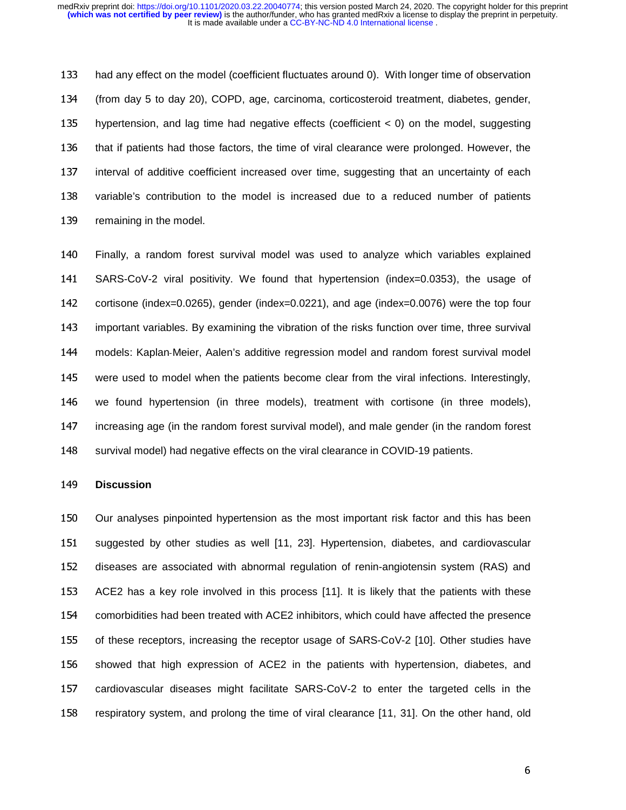had any effect on the model (coefficient fluctuates around 0). With longer time of observation (from day 5 to day 20), COPD, age, carcinoma, corticosteroid treatment, diabetes, gender, hypertension, and lag time had negative effects (coefficient < 0) on the model, suggesting that if patients had those factors, the time of viral clearance were prolonged. However, the interval of additive coefficient increased over time, suggesting that an uncertainty of each variable's contribution to the model is increased due to a reduced number of patients remaining in the model.

Finally, a random forest survival model was used to analyze which variables explained SARS-CoV-2 viral positivity. We found that hypertension (index=0.0353), the usage of cortisone (index=0.0265), gender (index=0.0221), and age (index=0.0076) were the top four important variables. By examining the vibration of the risks function over time, three survival 144 models: Kaplan-Meier, Aalen's additive regression model and random forest survival model -Meier, Aalen's additive regression model and random forest survival model<br>odel when the patients become clear from the viral infections. Interestingly, were used to model when the patients become clear from the viral infections. Interestingly, we found hypertension (in three models), treatment with cortisone (in three models), increasing age (in the random forest survival model), and male gender (in the random forest survival model) had negative effects on the viral clearance in COVID-19 patients.

#### **Discussion**

Our analyses pinpointed hypertension as the most important risk factor and this has been suggested by other studies as well [11, 23]. Hypertension, diabetes, and cardiovascular diseases are associated with abnormal regulation of renin-angiotensin system (RAS) and ACE2 has a key role involved in this process [11]. It is likely that the patients with these comorbidities had been treated with ACE2 inhibitors, which could have affected the presence of these receptors, increasing the receptor usage of SARS-CoV-2 [10]. Other studies have showed that high expression of ACE2 in the patients with hypertension, diabetes, and cardiovascular diseases might facilitate SARS-CoV-2 to enter the targeted cells in the respiratory system, and prolong the time of viral clearance [11, 31]. On the other hand, old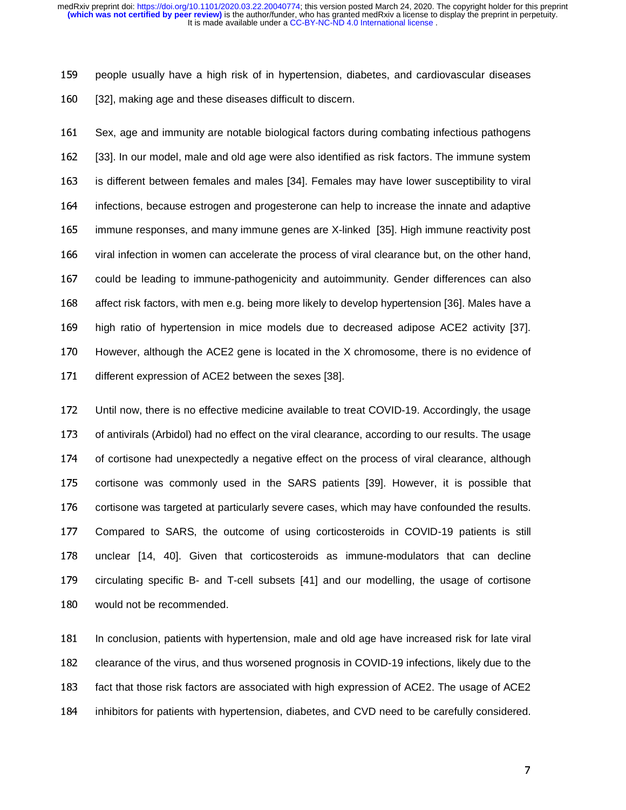people usually have a high risk of in hypertension, diabetes, and cardiovascular diseases [32], making age and these diseases difficult to discern.

Sex, age and immunity are notable biological factors during combating infectious pathogens [33]. In our model, male and old age were also identified as risk factors. The immune system is different between females and males [34]. Females may have lower susceptibility to viral infections, because estrogen and progesterone can help to increase the innate and adaptive immune responses, and many immune genes are X-linked [35]. High immune reactivity post viral infection in women can accelerate the process of viral clearance but, on the other hand, could be leading to immune-pathogenicity and autoimmunity. Gender differences can also affect risk factors, with men e.g. being more likely to develop hypertension [36]. Males have a high ratio of hypertension in mice models due to decreased adipose ACE2 activity [37]. However, although the ACE2 gene is located in the X chromosome, there is no evidence of different expression of ACE2 between the sexes [38].

Until now, there is no effective medicine available to treat COVID-19. Accordingly, the usage of antivirals (Arbidol) had no effect on the viral clearance, according to our results. The usage of cortisone had unexpectedly a negative effect on the process of viral clearance, although cortisone was commonly used in the SARS patients [39]. However, it is possible that cortisone was targeted at particularly severe cases, which may have confounded the results. Compared to SARS, the outcome of using corticosteroids in COVID-19 patients is still unclear [14, 40]. Given that corticosteroids as immune-modulators that can decline circulating specific B- and T-cell subsets [41] and our modelling, the usage of cortisone would not be recommended.

In conclusion, patients with hypertension, male and old age have increased risk for late viral clearance of the virus, and thus worsened prognosis in COVID-19 infections, likely due to the fact that those risk factors are associated with high expression of ACE2. The usage of ACE2 inhibitors for patients with hypertension, diabetes, and CVD need to be carefully considered.

 $\overline{7}$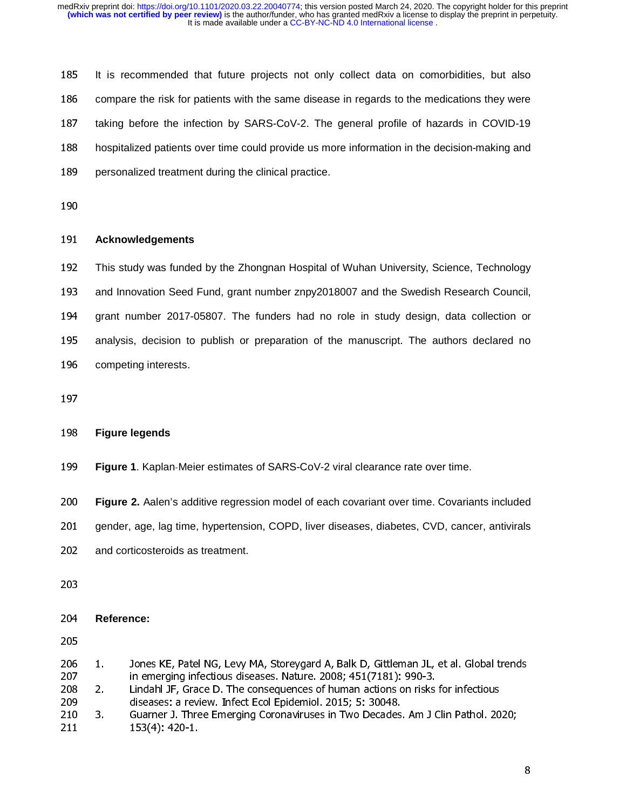It is recommended that future projects not only collect data on comorbidities, but also compare the risk for patients with the same disease in regards to the medications they were taking before the infection by SARS-CoV-2. The general profile of hazards in COVID-19 hospitalized patients over time could provide us more information in the decision-making and personalized treatment during the clinical practice.

### **Acknowledgements**

This study was funded by the Zhongnan Hospital of Wuhan University, Science, Technology and Innovation Seed Fund, grant number znpy2018007 and the Swedish Research Council, grant number 2017-05807. The funders had no role in study design, data collection or analysis, decision to publish or preparation of the manuscript. The authors declared no competing interests.

# **Figure legends**

**Figure 1**. Kaplan-Meier estimates of SARS-CoV-2 viral clearance rate over time.

199 **Figure 1**. Kaplan-Meier estimates of SARS-CoV-2 viral clearance rate over time.<br>200 **Figure 2.** Aalen's additive regression model of each covariant over time. Covariants included

- gender, age, lag time, hypertension, COPD, liver diseases, diabetes, CVD, cancer, antivirals
- and corticosteroids as treatment.
- 

## **Reference:**

- 206 1. Jones KE, Patel NG, Levy MA, Storeygard A, Balk D, Gittleman JL, et al. Global trends 207 in emerging infectious diseases. Nature. 2008; 451(7181): 990-3.
- 208 2. Lindahl JF, Grace D. The consequences of human actions on risks for infectious
- 209 diseases: a review. Infect Ecol Epidemiol. 2015; 5: 30048.
- 210 3. Guarner J. Three Emerging Coronaviruses in Two Decades. Am J Clin Pathol. 2020; 211 153(4): 420-1.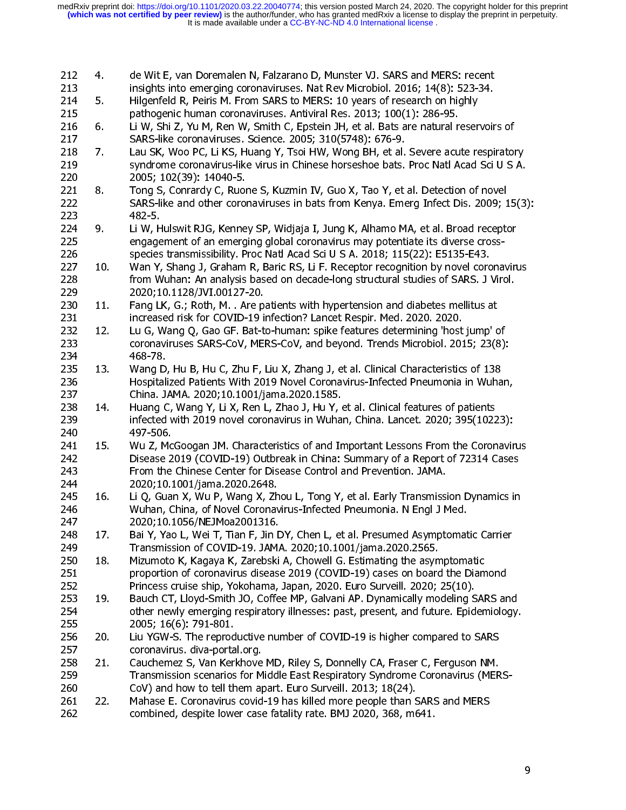| 212 | 4.              | de Wit E, van Doremalen N, Falzarano D, Munster VJ. SARS and MERS: recent            |
|-----|-----------------|--------------------------------------------------------------------------------------|
| 213 |                 | insights into emerging coronaviruses. Nat Rev Microbiol. 2016; 14(8): 523-34.        |
| 214 | 5.              | Hilgenfeld R, Peiris M. From SARS to MERS: 10 years of research on highly            |
| 215 |                 | pathogenic human coronaviruses. Antiviral Res. 2013; 100(1): 286-95.                 |
| 216 | 6.              | Li W, Shi Z, Yu M, Ren W, Smith C, Epstein JH, et al. Bats are natural reservoirs of |
| 217 |                 | SARS-like coronaviruses. Science. 2005; 310(5748): 676-9.                            |
| 218 | 7.              | Lau SK, Woo PC, Li KS, Huang Y, Tsoi HW, Wong BH, et al. Severe acute respiratory    |
| 219 |                 | syndrome coronavirus-like virus in Chinese horseshoe bats. Proc Natl Acad Sci U S A. |
| 220 |                 | 2005; 102(39): 14040-5.                                                              |
| 221 | 8.              | Tong S, Conrardy C, Ruone S, Kuzmin IV, Guo X, Tao Y, et al. Detection of novel      |
| 222 |                 | SARS-like and other coronaviruses in bats from Kenya. Emerg Infect Dis. 2009; 15(3): |
| 223 |                 | $482 - 5.$                                                                           |
| 224 | 9.              | Li W, Hulswit RJG, Kenney SP, Widjaja I, Jung K, Alhamo MA, et al. Broad receptor    |
| 225 |                 | engagement of an emerging global coronavirus may potentiate its diverse cross-       |
| 226 |                 | species transmissibility. Proc Natl Acad Sci U S A. 2018; 115(22): E5135-E43.        |
| 227 | 10 <sub>1</sub> | Wan Y, Shang J, Graham R, Baric RS, Li F. Receptor recognition by novel coronavirus  |
| 228 |                 | from Wuhan: An analysis based on decade-long structural studies of SARS. J Virol.    |
| 229 |                 | 2020;10.1128/JVI.00127-20.                                                           |
| 230 | 11.             | Fang LK, G.; Roth, M. . Are patients with hypertension and diabetes mellitus at      |
| 231 |                 | increased risk for COVID-19 infection? Lancet Respir. Med. 2020. 2020.               |
| 232 | 12.             | Lu G, Wang Q, Gao GF. Bat-to-human: spike features determining 'host jump' of        |
| 233 |                 | coronaviruses SARS-CoV, MERS-CoV, and beyond. Trends Microbiol. 2015; 23(8):         |
| 234 |                 | 468 78                                                                               |
| 235 | 13.             | Wang D, Hu B, Hu C, Zhu F, Liu X, Zhang J, et al. Clinical Characteristics of 138    |
| 236 |                 | Hospitalized Patients With 2019 Novel Coronavirus-Infected Pneumonia in Wuhan,       |
| 237 |                 | China. JAMA. 2020;10.1001/jama.2020.1585.                                            |
| 238 | 14.             | Huang C, Wang Y, Li X, Ren L, Zhao J, Hu Y, et al. Clinical features of patients     |
| 239 |                 | infected with 2019 novel coronavirus in Wuhan, China. Lancet. 2020; 395(10223):      |
| 240 |                 | 497-506.                                                                             |
| 241 | 15.             | Wu Z, McGoogan JM. Characteristics of and Important Lessons From the Coronavirus     |
| 242 |                 | Disease 2019 (COVID-19) Outbreak in China: Summary of a Report of 72314 Cases        |
| 243 |                 | From the Chinese Center for Disease Control and Prevention. JAMA.                    |
| 244 |                 | 2020;10.1001/jama.2020.2648.                                                         |
| 245 | 16 <sub>1</sub> | Li Q, Guan X, Wu P, Wang X, Zhou L, Tong Y, et al. Early Transmission Dynamics in    |
| 246 |                 | Wuhan, China, of Novel Coronavirus-Infected Pneumonia. N Engl J Med.                 |
| 247 |                 | 2020;10.1056/NEJMoa2001316.                                                          |
| 248 | 17.             | Bai Y, Yao L, Wei T, Tian F, Jin DY, Chen L, et al. Presumed Asymptomatic Carrier    |
| 249 |                 | Transmission of COVID-19. JAMA. 2020;10.1001/jama.2020.2565.                         |
| 250 | 18              | Mizumoto K, Kagaya K, Zarebski A, Chowell G. Estimating the asymptomatic             |
| 251 |                 | proportion of coronavirus disease 2019 (COVID-19) cases on board the Diamond         |
| 252 |                 | Princess cruise ship, Yokohama, Japan, 2020. Euro Surveill. 2020; 25(10).            |
| 253 | 19.             | Bauch CT, Lloyd-Smith JO, Coffee MP, Galvani AP. Dynamically modeling SARS and       |
| 254 |                 | other newly emerging respiratory illnesses: past, present, and future. Epidemiology. |
| 255 |                 | 2005; 16(6): 791-801.                                                                |
| 256 | 20.             | Liu YGW-S. The reproductive number of COVID-19 is higher compared to SARS            |
| 257 |                 | coronavirus. diva-portal.org.                                                        |
| 258 | 21.             | Cauchemez S, Van Kerkhove MD, Riley S, Donnelly CA, Fraser C, Ferguson NM.           |
| 259 |                 | Transmission scenarios for Middle East Respiratory Syndrome Coronavirus (MERS-       |
| 260 |                 | CoV) and how to tell them apart. Euro Surveill. 2013; 18(24).                        |
| 261 | 22.             | Mahase E. Coronavirus covid-19 has killed more people than SARS and MERS             |
| 262 |                 | combined, despite lower case fatality rate. BMJ 2020, 368, m641.                     |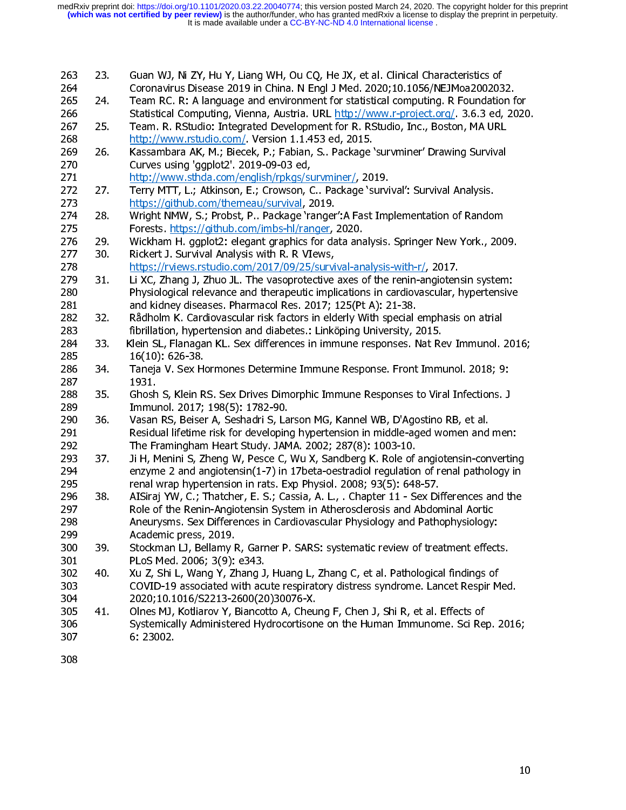| 263<br>264        | 23. | Guan WJ, Ni ZY, Hu Y, Liang WH, Ou CQ, He JX, et al. Clinical Characteristics of<br>Coronavirus Disease 2019 in China. N Engl J Med. 2020;10.1056/NEJMoa2002032.                                                                                       |
|-------------------|-----|--------------------------------------------------------------------------------------------------------------------------------------------------------------------------------------------------------------------------------------------------------|
| 265<br>266        | 24. | Team RC. R: A language and environment for statistical computing. R Foundation for<br>Statistical Computing, Vienna, Austria. URL http://www.r-project.org/ 3.6.3 ed, 2020.                                                                            |
| 267<br>268        | 25. | Team. R. RStudio: Integrated Development for R. RStudio, Inc., Boston, MA URL<br>http://www.rstudio.com/ Version 1.1.453 ed, 2015.                                                                                                                     |
| 269<br>270        | 26. | Kassambara AK, M.; Biecek, P.; Fabian, S Package 'survminer' Drawing Survival<br>Curves using 'ggplot2'. 2019-09-03 ed,                                                                                                                                |
| 271<br>272        | 27. | http://www.sthda.com/english/rpkgs/survminer/, 2019.<br>Terry MTT, L.; Atkinson, E.; Crowson, C Package 'survival': Survival Analysis.                                                                                                                 |
| 273<br>274        | 28. | https://github.com/therneau/survival, 2019.<br>Wright NMW, S.; Probst, P Package 'ranger': A Fast Implementation of Random                                                                                                                             |
| 275<br>276        | 29. | Forests. https://github.com/imbs-hl/ranger, 2020.<br>Wickham H. ggplot2: elegant graphics for data analysis. Springer New York., 2009.                                                                                                                 |
| 277<br>278        | 30. | Rickert J. Survival Analysis with R. R VIews,<br>https://rviews.rstudio.com/2017/09/25/survival-analysis-with-r/, 2017.                                                                                                                                |
| 279<br>280<br>281 | 31. | Li XC, Zhang J, Zhuo JL. The vasoprotective axes of the renin-angiotensin system:<br>Physiological relevance and therapeutic implications in cardiovascular, hypertensive<br>and kidney diseases. Pharmacol Res. 2017; 125(Pt A): 21-38.               |
| 282<br>283        | 32. | Rådholm K. Cardiovascular risk factors in elderly With special emphasis on atrial<br>fibrillation, hypertension and diabetes.: Linköping University, 2015.                                                                                             |
| 284<br>285        | 33. | Klein SL, Flanagan KL. Sex differences in immune responses. Nat Rev Immunol. 2016;<br>$16(10)$ 626-38                                                                                                                                                  |
| 286<br>287        | 34. | Taneja V. Sex Hormones Determine Immune Response. Front Immunol. 2018; 9:<br>1931                                                                                                                                                                      |
| 288<br>289        | 35. | Ghosh S, Klein RS. Sex Drives Dimorphic Immune Responses to Viral Infections. J<br>Immunol. 2017; 198(5): 1782-90.                                                                                                                                     |
| 290<br>291        | 36. | Vasan RS, Beiser A, Seshadri S, Larson MG, Kannel WB, D'Agostino RB, et al.<br>Residual lifetime risk for developing hypertension in middle-aged women and men:                                                                                        |
| 292<br>293        | 37. | The Framingham Heart Study. JAMA. 2002; 287(8): 1003-10.<br>Ji H, Menini S, Zheng W, Pesce C, Wu X, Sandberg K. Role of angiotensin-converting                                                                                                         |
| 294<br>295        |     | enzyme 2 and angiotensin(1-7) in 17beta-oestradiol regulation of renal pathology in<br>renal wrap hypertension in rats. Exp Physiol. 2008; 93(5): 648-57.                                                                                              |
| 296<br>297<br>298 | 38. | AISiraj YW, C.; Thatcher, E. S.; Cassia, A. L., . Chapter 11 - Sex Differences and the<br>Role of the Renin-Angiotensin System in Atherosclerosis and Abdominal Aortic<br>Aneurysms. Sex Differences in Cardiovascular Physiology and Pathophysiology: |
| 299<br>300        | 39  | Academic press, 2019.<br>Stockman LJ, Bellamy R, Garner P. SARS: systematic review of treatment effects.                                                                                                                                               |
| 301<br>302        | 40. | PLoS Med. 2006; 3(9): e343.<br>Xu Z, Shi L, Wang Y, Zhang J, Huang L, Zhang C, et al. Pathological findings of                                                                                                                                         |
| 303<br>304        |     | COVID-19 associated with acute respiratory distress syndrome. Lancet Respir Med.<br>2020;10.1016/S2213-2600(20)30076-X.                                                                                                                                |
| 305<br>306        | 41. | Olnes MJ, Kotliarov Y, Biancotto A, Cheung F, Chen J, Shi R, et al. Effects of<br>Systemically Administered Hydrocortisone on the Human Immunome. Sci Rep. 2016;                                                                                       |
| 307<br>308        |     | 6.23002.                                                                                                                                                                                                                                               |
|                   |     | 10                                                                                                                                                                                                                                                     |
|                   |     |                                                                                                                                                                                                                                                        |
|                   |     |                                                                                                                                                                                                                                                        |
|                   |     |                                                                                                                                                                                                                                                        |
|                   |     |                                                                                                                                                                                                                                                        |
|                   |     |                                                                                                                                                                                                                                                        |
|                   |     |                                                                                                                                                                                                                                                        |
|                   |     |                                                                                                                                                                                                                                                        |
|                   |     |                                                                                                                                                                                                                                                        |
|                   |     |                                                                                                                                                                                                                                                        |
|                   |     |                                                                                                                                                                                                                                                        |
|                   |     |                                                                                                                                                                                                                                                        |
|                   |     |                                                                                                                                                                                                                                                        |
|                   |     |                                                                                                                                                                                                                                                        |
|                   |     |                                                                                                                                                                                                                                                        |
|                   |     |                                                                                                                                                                                                                                                        |
|                   |     |                                                                                                                                                                                                                                                        |
|                   |     |                                                                                                                                                                                                                                                        |
|                   |     |                                                                                                                                                                                                                                                        |
|                   |     |                                                                                                                                                                                                                                                        |
|                   |     |                                                                                                                                                                                                                                                        |
|                   |     |                                                                                                                                                                                                                                                        |
|                   |     |                                                                                                                                                                                                                                                        |
|                   |     |                                                                                                                                                                                                                                                        |
|                   |     |                                                                                                                                                                                                                                                        |
|                   |     |                                                                                                                                                                                                                                                        |
|                   |     |                                                                                                                                                                                                                                                        |
|                   |     |                                                                                                                                                                                                                                                        |
|                   |     |                                                                                                                                                                                                                                                        |
|                   |     |                                                                                                                                                                                                                                                        |
|                   |     |                                                                                                                                                                                                                                                        |
|                   |     |                                                                                                                                                                                                                                                        |
|                   |     |                                                                                                                                                                                                                                                        |
|                   |     |                                                                                                                                                                                                                                                        |
|                   |     |                                                                                                                                                                                                                                                        |
|                   |     |                                                                                                                                                                                                                                                        |
|                   |     |                                                                                                                                                                                                                                                        |
|                   |     |                                                                                                                                                                                                                                                        |
|                   |     |                                                                                                                                                                                                                                                        |
|                   |     |                                                                                                                                                                                                                                                        |
|                   |     |                                                                                                                                                                                                                                                        |
|                   |     |                                                                                                                                                                                                                                                        |
|                   |     |                                                                                                                                                                                                                                                        |
|                   |     |                                                                                                                                                                                                                                                        |
|                   |     |                                                                                                                                                                                                                                                        |
|                   |     |                                                                                                                                                                                                                                                        |
|                   |     |                                                                                                                                                                                                                                                        |
|                   |     |                                                                                                                                                                                                                                                        |
|                   |     |                                                                                                                                                                                                                                                        |
|                   |     |                                                                                                                                                                                                                                                        |
|                   |     |                                                                                                                                                                                                                                                        |
|                   |     |                                                                                                                                                                                                                                                        |
|                   |     |                                                                                                                                                                                                                                                        |
|                   |     |                                                                                                                                                                                                                                                        |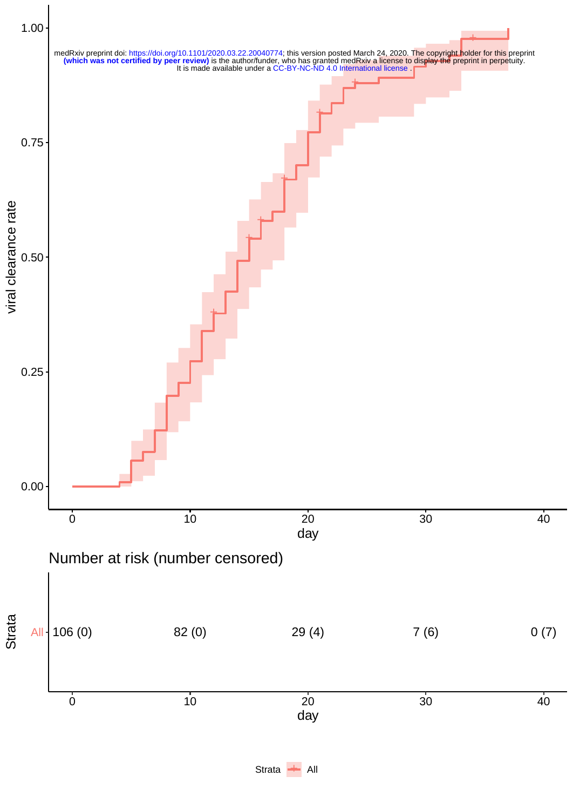

Strata + All